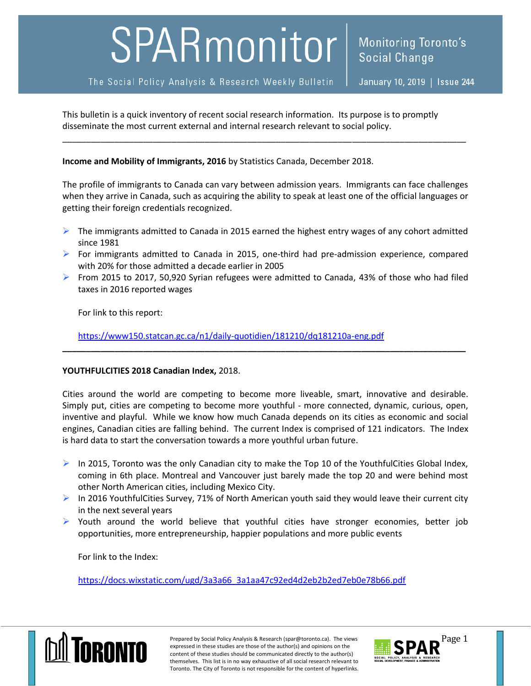## SPARmonitor

The Social Policy Analysis & Research Weekly Bulletin

January 10, 2019 | Issue 244

This bulletin is a quick inventory of recent social research information. Its purpose is to promptly disseminate the most current external and internal research relevant to social policy.

## **Income and Mobility of Immigrants, 2016** by Statistics Canada, December 2018.

The profile of immigrants to Canada can vary between admission years. Immigrants can face challenges when they arrive in Canada, such as acquiring the ability to speak at least one of the official languages or getting their foreign credentials recognized.

\_\_\_\_\_\_\_\_\_\_\_\_\_\_\_\_\_\_\_\_\_\_\_\_\_\_\_\_\_\_\_\_\_\_\_\_\_\_\_\_\_\_\_\_\_\_\_\_\_\_\_\_\_\_\_\_\_\_\_\_\_\_\_\_\_\_\_\_\_\_\_\_\_\_\_\_\_\_\_\_\_\_\_\_\_

- $\triangleright$  The immigrants admitted to Canada in 2015 earned the highest entry wages of any cohort admitted since 1981
- For immigrants admitted to Canada in 2015, one-third had pre-admission experience, compared with 20% for those admitted a decade earlier in 2005
- From 2015 to 2017, 50,920 Syrian refugees were admitted to Canada, 43% of those who had filed taxes in 2016 reported wages

**\_\_\_\_\_\_\_\_\_\_\_\_\_\_\_\_\_\_\_\_\_\_\_\_\_\_\_\_\_\_\_\_\_\_\_\_\_\_\_\_\_\_\_\_\_\_\_\_\_\_\_\_\_\_\_\_\_\_\_\_\_\_\_\_\_\_\_\_\_\_\_\_\_\_\_\_\_\_\_\_\_\_\_\_\_**

For link to this report:

<https://www150.statcan.gc.ca/n1/daily-quotidien/181210/dq181210a-eng.pdf>

## **YOUTHFULCITIES 2018 Canadian Index,** 2018.

Cities around the world are competing to become more liveable, smart, innovative and desirable. Simply put, cities are competing to become more youthful - more connected, dynamic, curious, open, inventive and playful. While we know how much Canada depends on its cities as economic and social engines, Canadian cities are falling behind. The current Index is comprised of 121 indicators. The Index is hard data to start the conversation towards a more youthful urban future.

- $\triangleright$  In 2015, Toronto was the only Canadian city to make the Top 10 of the YouthfulCities Global Index, coming in 6th place. Montreal and Vancouver just barely made the top 20 and were behind most other North American cities, including Mexico City.
- $\triangleright$  In 2016 YouthfulCities Survey, 71% of North American youth said they would leave their current city in the next several years
- $\triangleright$  Youth around the world believe that youthful cities have stronger economies, better job opportunities, more entrepreneurship, happier populations and more public events

For link to the Index:

[https://docs.wixstatic.com/ugd/3a3a66\\_3a1aa47c92ed4d2eb2b2ed7eb0e78b66.pdf](https://docs.wixstatic.com/ugd/3a3a66_3a1aa47c92ed4d2eb2b2ed7eb0e78b66.pdf)



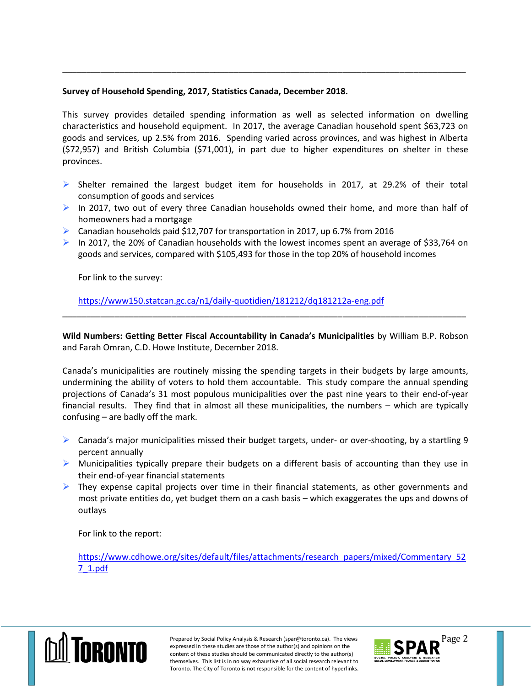## **Survey of Household Spending, 2017, Statistics Canada, December 2018.**

This survey provides detailed spending information as well as selected information on dwelling characteristics and household equipment. In 2017, the average Canadian household spent \$63,723 on goods and services, up 2.5% from 2016. Spending varied across provinces, and was highest in Alberta (\$72,957) and British Columbia (\$71,001), in part due to higher expenditures on shelter in these provinces.

\_\_\_\_\_\_\_\_\_\_\_\_\_\_\_\_\_\_\_\_\_\_\_\_\_\_\_\_\_\_\_\_\_\_\_\_\_\_\_\_\_\_\_\_\_\_\_\_\_\_\_\_\_\_\_\_\_\_\_\_\_\_\_\_\_\_\_\_\_\_\_\_\_\_\_\_\_\_\_\_\_\_\_\_\_

- $\triangleright$  Shelter remained the largest budget item for households in 2017, at 29.2% of their total consumption of goods and services
- $\triangleright$  In 2017, two out of every three Canadian households owned their home, and more than half of homeowners had a mortgage
- **EXEC** Canadian households paid \$12,707 for transportation in 2017, up 6.7% from 2016
- In 2017, the 20% of Canadian households with the lowest incomes spent an average of \$33,764 on goods and services, compared with \$105,493 for those in the top 20% of household incomes

For link to the survey:

<https://www150.statcan.gc.ca/n1/daily-quotidien/181212/dq181212a-eng.pdf>

**Wild Numbers: Getting Better Fiscal Accountability in Canada's Municipalities** by William B.P. Robson and Farah Omran, C.D. Howe Institute, December 2018.

\_\_\_\_\_\_\_\_\_\_\_\_\_\_\_\_\_\_\_\_\_\_\_\_\_\_\_\_\_\_\_\_\_\_\_\_\_\_\_\_\_\_\_\_\_\_\_\_\_\_\_\_\_\_\_\_\_\_\_\_\_\_\_\_\_\_\_\_\_\_\_\_\_\_\_\_\_\_\_\_\_\_\_\_\_

Canada's municipalities are routinely missing the spending targets in their budgets by large amounts, undermining the ability of voters to hold them accountable. This study compare the annual spending projections of Canada's 31 most populous municipalities over the past nine years to their end-of-year financial results. They find that in almost all these municipalities, the numbers – which are typically confusing – are badly off the mark.

- $\triangleright$  Canada's major municipalities missed their budget targets, under- or over-shooting, by a startling 9 percent annually
- $\triangleright$  Municipalities typically prepare their budgets on a different basis of accounting than they use in their end-of-year financial statements
- $\triangleright$  They expense capital projects over time in their financial statements, as other governments and most private entities do, yet budget them on a cash basis – which exaggerates the ups and downs of outlays

For link to the report:

[https://www.cdhowe.org/sites/default/files/attachments/research\\_papers/mixed/Commentary\\_52](https://www.cdhowe.org/sites/default/files/attachments/research_papers/mixed/Commentary_527_1.pdf) [7\\_1.pdf](https://www.cdhowe.org/sites/default/files/attachments/research_papers/mixed/Commentary_527_1.pdf)